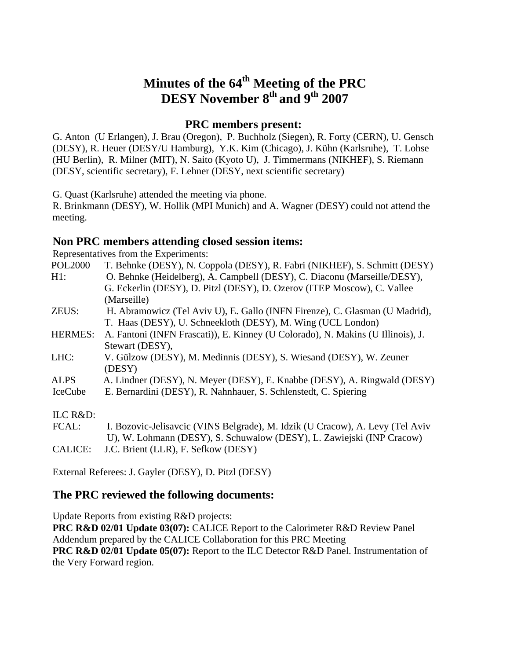# **Minutes of the 64<sup>th</sup> Meeting of the PRC DESY November 8<sup>th</sup> and 9<sup>th</sup> 2007**

### **PRC members present:**

G. Anton (U Erlangen), J. Brau (Oregon), P. Buchholz (Siegen), R. Forty (CERN), U. Gensch (DESY), R. Heuer (DESY/U Hamburg), Y.K. Kim (Chicago), J. Kühn (Karlsruhe), T. Lohse (HU Berlin), R. Milner (MIT), N. Saito (Kyoto U), J. Timmermans (NIKHEF), S. Riemann (DESY, scientific secretary), F. Lehner (DESY, next scientific secretary)

G. Quast (Karlsruhe) attended the meeting via phone.

R. Brinkmann (DESY), W. Hollik (MPI Munich) and A. Wagner (DESY) could not attend the meeting.

### **Non PRC members attending closed session items:**

Representatives from the Experiments:

| <b>POL2000</b> | T. Behnke (DESY), N. Coppola (DESY), R. Fabri (NIKHEF), S. Schmitt (DESY)       |
|----------------|---------------------------------------------------------------------------------|
| $H1$ :         | O. Behnke (Heidelberg), A. Campbell (DESY), C. Diaconu (Marseille/DESY),        |
|                | G. Eckerlin (DESY), D. Pitzl (DESY), D. Ozerov (ITEP Moscow), C. Vallee         |
|                | (Marseille)                                                                     |
| ZEUS:          | H. Abramowicz (Tel Aviv U), E. Gallo (INFN Firenze), C. Glasman (U Madrid),     |
|                | T. Haas (DESY), U. Schneekloth (DESY), M. Wing (UCL London)                     |
| <b>HERMES:</b> | A. Fantoni (INFN Frascati)), E. Kinney (U Colorado), N. Makins (U Illinois), J. |
|                | Stewart (DESY),                                                                 |
| LHC:           | V. Gülzow (DESY), M. Medinnis (DESY), S. Wiesand (DESY), W. Zeuner              |
|                | (DESY)                                                                          |
| <b>ALPS</b>    | A. Lindner (DESY), N. Meyer (DESY), E. Knabbe (DESY), A. Ringwald (DESY)        |
| IceCube        | E. Bernardini (DESY), R. Nahnhauer, S. Schlenstedt, C. Spiering                 |
|                |                                                                                 |
| ILC R&D:       |                                                                                 |
| FCAL:          | I. Bozovic-Jelisavcic (VINS Belgrade), M. Idzik (U Cracow), A. Levy (Tel Aviv   |
|                | U), W. Lohmann (DESY), S. Schuwalow (DESY), L. Zawiejski (INP Cracow)           |

CALICE: J.C. Brient (LLR), F. Sefkow (DESY)

External Referees: J. Gayler (DESY), D. Pitzl (DESY)

## **The PRC reviewed the following documents:**

Update Reports from existing R&D projects: **PRC R&D 02/01 Update 03(07):** CALICE Report to the Calorimeter R&D Review Panel Addendum prepared by the CALICE Collaboration for this PRC Meeting **PRC R&D 02/01 Update 05(07):** Report to the ILC Detector R&D Panel. Instrumentation of the Very Forward region.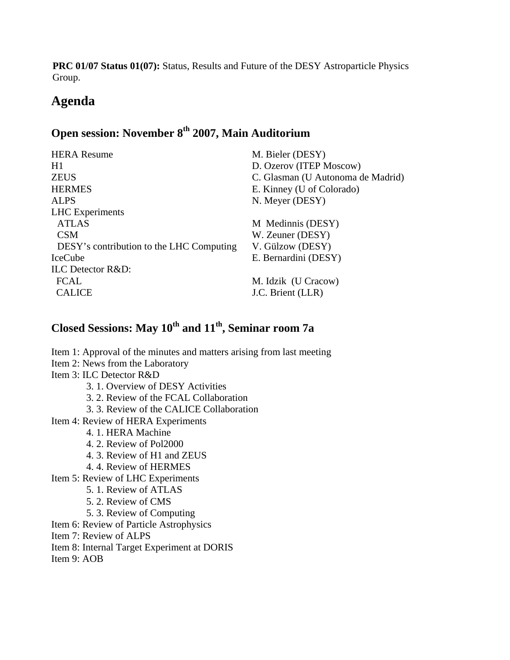**PRC 01/07 Status 01(07):** Status, Results and Future of the DESY Astroparticle Physics Group.

# **Agenda**

# **Open session: November 8th 2007, Main Auditorium**

| <b>HERA</b> Resume                       | M. Bieler (DESY)                  |
|------------------------------------------|-----------------------------------|
| H1                                       | D. Ozerov (ITEP Moscow)           |
| <b>ZEUS</b>                              | C. Glasman (U Autonoma de Madrid) |
| <b>HERMES</b>                            | E. Kinney (U of Colorado)         |
| <b>ALPS</b>                              | N. Meyer (DESY)                   |
| <b>LHC</b> Experiments                   |                                   |
| <b>ATLAS</b>                             | M Medinnis (DESY)                 |
| <b>CSM</b>                               | W. Zeuner (DESY)                  |
| DESY's contribution to the LHC Computing | V. Gülzow (DESY)                  |
| <b>IceCube</b>                           | E. Bernardini (DESY)              |
| <b>ILC</b> Detector R&D:                 |                                   |
| <b>FCAL</b>                              | M. Idzik (U Cracow)               |
| <b>CALICE</b>                            | J.C. Brient (LLR)                 |
|                                          |                                   |

# **Closed Sessions: May 10th and 11th, Seminar room 7a**

Item 1: Approval of the minutes and matters arising from last meeting Item 2: News from the Laboratory Item 3: ILC Detector R&D 3. 1. Overview of DESY Activities 3. 2. Review of the FCAL Collaboration 3. 3. Review of the CALICE Collaboration Item 4: Review of HERA Experiments 4. 1. HERA Machine 4. 2. Review of Pol2000 4. 3. Review of H1 and ZEUS 4. 4. Review of HERMES Item 5: Review of LHC Experiments 5. 1. Review of ATLAS 5. 2. Review of CMS 5. 3. Review of Computing Item 6: Review of Particle Astrophysics Item 7: Review of ALPS Item 8: Internal Target Experiment at DORIS Item 9: AOB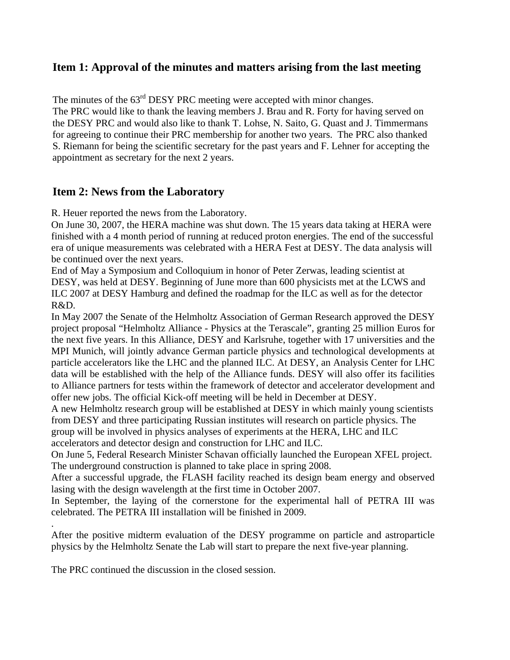## **Item 1: Approval of the minutes and matters arising from the last meeting**

The minutes of the 63<sup>rd</sup> DESY PRC meeting were accepted with minor changes. The PRC would like to thank the leaving members J. Brau and R. Forty for having served on the DESY PRC and would also like to thank T. Lohse, N. Saito, G. Quast and J. Timmermans for agreeing to continue their PRC membership for another two years. The PRC also thanked S. Riemann for being the scientific secretary for the past years and F. Lehner for accepting the appointment as secretary for the next 2 years.

# **Item 2: News from the Laboratory**

R. Heuer reported the news from the Laboratory.

On June 30, 2007, the HERA machine was shut down. The 15 years data taking at HERA were finished with a 4 month period of running at reduced proton energies. The end of the successful era of unique measurements was celebrated with a HERA Fest at DESY. The data analysis will be continued over the next years.

End of May a Symposium and Colloquium in honor of Peter Zerwas, leading scientist at DESY, was held at DESY. Beginning of June more than 600 physicists met at the LCWS and ILC 2007 at DESY Hamburg and defined the roadmap for the ILC as well as for the detector R&D.

In May 2007 the Senate of the Helmholtz Association of German Research approved the DESY project proposal "Helmholtz Alliance - Physics at the Terascale", granting 25 million Euros for the next five years. In this Alliance, DESY and Karlsruhe, together with 17 universities and the MPI Munich, will jointly advance German particle physics and technological developments at particle accelerators like the LHC and the planned ILC. At DESY, an Analysis Center for LHC data will be established with the help of the Alliance funds. DESY will also offer its facilities to Alliance partners for tests within the framework of detector and accelerator development and offer new jobs. The official Kick-off meeting will be held in December at DESY.

A new Helmholtz research group will be established at DESY in which mainly young scientists from DESY and three participating Russian institutes will research on particle physics. The

group will be involved in physics analyses of experiments at the HERA, LHC and ILC accelerators and detector design and construction for LHC and ILC.

On June 5, Federal Research Minister Schavan officially launched the European XFEL project. The underground construction is planned to take place in spring 2008.

After a successful upgrade, the FLASH facility reached its design beam energy and observed lasing with the design wavelength at the first time in October 2007.

In September, the laying of the cornerstone for the experimental hall of PETRA III was celebrated. The PETRA III installation will be finished in 2009.

After the positive midterm evaluation of the DESY programme on particle and astroparticle physics by the Helmholtz Senate the Lab will start to prepare the next five-year planning.

The PRC continued the discussion in the closed session.

.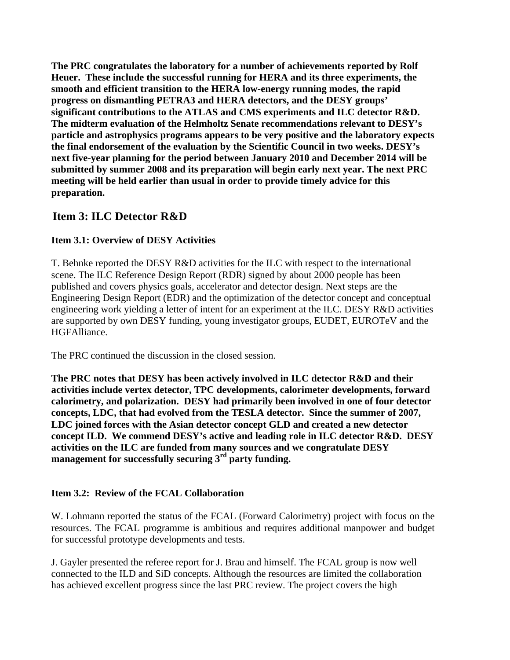**The PRC congratulates the laboratory for a number of achievements reported by Rolf Heuer. These include the successful running for HERA and its three experiments, the smooth and efficient transition to the HERA low-energy running modes, the rapid progress on dismantling PETRA3 and HERA detectors, and the DESY groups' significant contributions to the ATLAS and CMS experiments and ILC detector R&D. The midterm evaluation of the Helmholtz Senate recommendations relevant to DESY's particle and astrophysics programs appears to be very positive and the laboratory expects the final endorsement of the evaluation by the Scientific Council in two weeks. DESY's next five-year planning for the period between January 2010 and December 2014 will be submitted by summer 2008 and its preparation will begin early next year. The next PRC meeting will be held earlier than usual in order to provide timely advice for this preparation.** 

# **Item 3: ILC Detector R&D**

## **Item 3.1: Overview of DESY Activities**

T. Behnke reported the DESY R&D activities for the ILC with respect to the international scene. The ILC Reference Design Report (RDR) signed by about 2000 people has been published and covers physics goals, accelerator and detector design. Next steps are the Engineering Design Report (EDR) and the optimization of the detector concept and conceptual engineering work yielding a letter of intent for an experiment at the ILC. DESY R&D activities are supported by own DESY funding, young investigator groups, EUDET, EUROTeV and the HGFAlliance.

The PRC continued the discussion in the closed session.

**The PRC notes that DESY has been actively involved in ILC detector R&D and their activities include vertex detector, TPC developments, calorimeter developments, forward calorimetry, and polarization. DESY had primarily been involved in one of four detector concepts, LDC, that had evolved from the TESLA detector. Since the summer of 2007, LDC joined forces with the Asian detector concept GLD and created a new detector concept ILD. We commend DESY's active and leading role in ILC detector R&D. DESY activities on the ILC are funded from many sources and we congratulate DESY management for successfully securing 3rd party funding.** 

### **Item 3.2: Review of the FCAL Collaboration**

W. Lohmann reported the status of the FCAL (Forward Calorimetry) project with focus on the resources. The FCAL programme is ambitious and requires additional manpower and budget for successful prototype developments and tests.

J. Gayler presented the referee report for J. Brau and himself. The FCAL group is now well connected to the ILD and SiD concepts. Although the resources are limited the collaboration has achieved excellent progress since the last PRC review. The project covers the high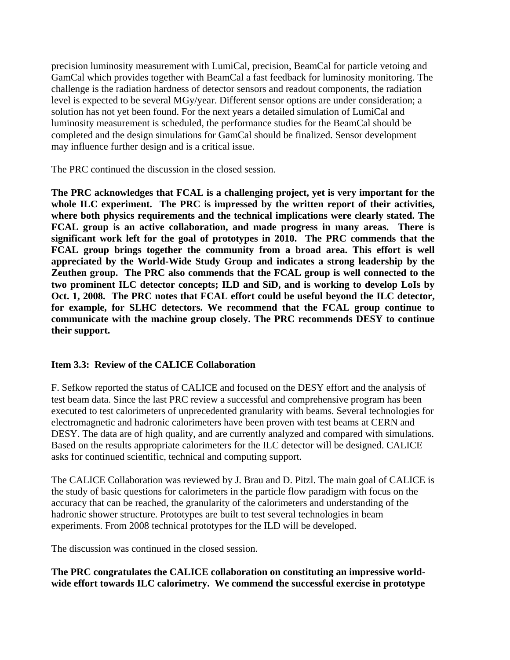precision luminosity measurement with LumiCal, precision, BeamCal for particle vetoing and GamCal which provides together with BeamCal a fast feedback for luminosity monitoring. The challenge is the radiation hardness of detector sensors and readout components, the radiation level is expected to be several MGy/year. Different sensor options are under consideration; a solution has not yet been found. For the next years a detailed simulation of LumiCal and luminosity measurement is scheduled, the performance studies for the BeamCal should be completed and the design simulations for GamCal should be finalized. Sensor development may influence further design and is a critical issue.

The PRC continued the discussion in the closed session.

**The PRC acknowledges that FCAL is a challenging project, yet is very important for the whole ILC experiment. The PRC is impressed by the written report of their activities, where both physics requirements and the technical implications were clearly stated. The FCAL group is an active collaboration, and made progress in many areas. There is significant work left for the goal of prototypes in 2010. The PRC commends that the FCAL group brings together the community from a broad area. This effort is well appreciated by the World-Wide Study Group and indicates a strong leadership by the Zeuthen group. The PRC also commends that the FCAL group is well connected to the two prominent ILC detector concepts; ILD and SiD, and is working to develop LoIs by Oct. 1, 2008. The PRC notes that FCAL effort could be useful beyond the ILC detector, for example, for SLHC detectors. We recommend that the FCAL group continue to communicate with the machine group closely. The PRC recommends DESY to continue their support.** 

### **Item 3.3: Review of the CALICE Collaboration**

F. Sefkow reported the status of CALICE and focused on the DESY effort and the analysis of test beam data. Since the last PRC review a successful and comprehensive program has been executed to test calorimeters of unprecedented granularity with beams. Several technologies for electromagnetic and hadronic calorimeters have been proven with test beams at CERN and DESY. The data are of high quality, and are currently analyzed and compared with simulations. Based on the results appropriate calorimeters for the ILC detector will be designed. CALICE asks for continued scientific, technical and computing support.

The CALICE Collaboration was reviewed by J. Brau and D. Pitzl. The main goal of CALICE is the study of basic questions for calorimeters in the particle flow paradigm with focus on the accuracy that can be reached, the granularity of the calorimeters and understanding of the hadronic shower structure. Prototypes are built to test several technologies in beam experiments. From 2008 technical prototypes for the ILD will be developed.

The discussion was continued in the closed session.

**The PRC congratulates the CALICE collaboration on constituting an impressive worldwide effort towards ILC calorimetry. We commend the successful exercise in prototype**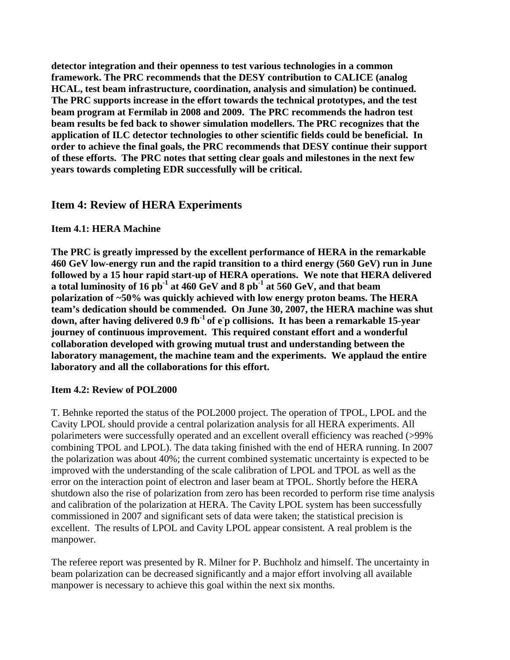**detector integration and their openness to test various technologies in a common framework. The PRC recommends that the DESY contribution to CALICE (analog HCAL, test beam infrastructure, coordination, analysis and simulation) be continued. The PRC supports increase in the effort towards the technical prototypes, and the test beam program at Fermilab in 2008 and 2009. The PRC recommends the hadron test beam results be fed back to shower simulation modellers. The PRC recognizes that the application of ILC detector technologies to other scientific fields could be beneficial. In order to achieve the final goals, the PRC recommends that DESY continue their support of these efforts. The PRC notes that setting clear goals and milestones in the next few years towards completing EDR successfully will be critical.** 

## **Item 4: Review of HERA Experiments**

#### **Item 4.1: HERA Machine**

**The PRC is greatly impressed by the excellent performance of HERA in the remarkable 460 GeV low-energy run and the rapid transition to a third energy (560 GeV) run in June followed by a 15 hour rapid start-up of HERA operations. We note that HERA delivered a total luminosity of 16 pb-1 at 460 GeV and 8 pb-1 at 560 GeV, and that beam polarization of ~50% was quickly achieved with low energy proton beams. The HERA team's dedication should be commended. On June 30, 2007, the HERA machine was shut down, after having delivered 0.9 fb-1 of e-p collisions. It has been a remarkable 15-year journey of continuous improvement. This required constant effort and a wonderful collaboration developed with growing mutual trust and understanding between the laboratory management, the machine team and the experiments. We applaud the entire laboratory and all the collaborations for this effort.** 

#### **Item 4.2: Review of POL2000**

T. Behnke reported the status of the POL2000 project. The operation of TPOL, LPOL and the Cavity LPOL should provide a central polarization analysis for all HERA experiments. All polarimeters were successfully operated and an excellent overall efficiency was reached (>99% combining TPOL and LPOL). The data taking finished with the end of HERA running. In 2007 the polarization was about 40%; the current combined systematic uncertainty is expected to be improved with the understanding of the scale calibration of LPOL and TPOL as well as the error on the interaction point of electron and laser beam at TPOL. Shortly before the HERA shutdown also the rise of polarization from zero has been recorded to perform rise time analysis and calibration of the polarization at HERA. The Cavity LPOL system has been successfully commissioned in 2007 and significant sets of data were taken; the statistical precision is excellent. The results of LPOL and Cavity LPOL appear consistent. A real problem is the manpower.

The referee report was presented by R. Milner for P. Buchholz and himself. The uncertainty in beam polarization can be decreased significantly and a major effort involving all available manpower is necessary to achieve this goal within the next six months.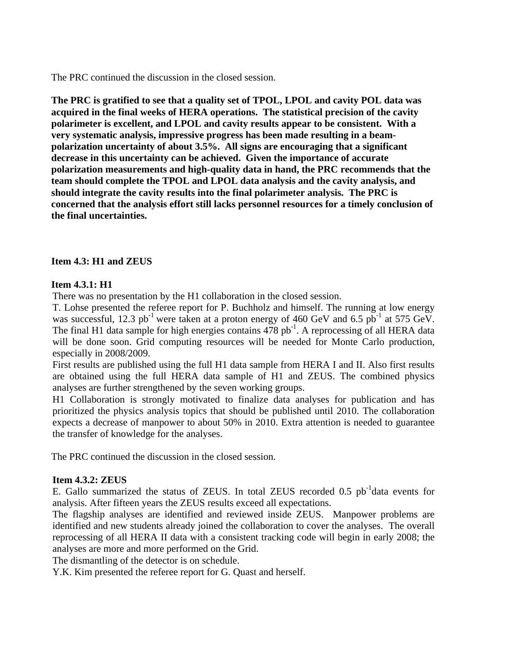The PRC continued the discussion in the closed session.

**The PRC is gratified to see that a quality set of TPOL, LPOL and cavity POL data was acquired in the final weeks of HERA operations. The statistical precision of the cavity polarimeter is excellent, and LPOL and cavity results appear to be consistent. With a very systematic analysis, impressive progress has been made resulting in a beampolarization uncertainty of about 3.5%. All signs are encouraging that a significant decrease in this uncertainty can be achieved. Given the importance of accurate polarization measurements and high-quality data in hand, the PRC recommends that the team should complete the TPOL and LPOL data analysis and the cavity analysis, and should integrate the cavity results into the final polarimeter analysis. The PRC is concerned that the analysis effort still lacks personnel resources for a timely conclusion of the final uncertainties.** 

#### **Item 4.3: H1 and ZEUS**

#### **Item 4.3.1: H1**

There was no presentation by the H1 collaboration in the closed session.

T. Lohse presented the referee report for P. Buchholz and himself. The running at low energy was successful, 12.3 pb<sup>-1</sup> were taken at a proton energy of 460 GeV and 6.5 pb<sup>-1</sup> at 575 GeV. The final H1 data sample for high energies contains  $478$  pb<sup>-1</sup>. A reprocessing of all HERA data will be done soon. Grid computing resources will be needed for Monte Carlo production, especially in 2008/2009.

First results are published using the full H1 data sample from HERA I and II. Also first results are obtained using the full HERA data sample of H1 and ZEUS. The combined physics analyses are further strengthened by the seven working groups.

H1 Collaboration is strongly motivated to finalize data analyses for publication and has prioritized the physics analysis topics that should be published until 2010. The collaboration expects a decrease of manpower to about 50% in 2010. Extra attention is needed to guarantee the transfer of knowledge for the analyses.

The PRC continued the discussion in the closed session.

#### **Item 4.3.2: ZEUS**

E. Gallo summarized the status of ZEUS. In total ZEUS recorded 0.5  $pb^{-1}$ data events for analysis. After fifteen years the ZEUS results exceed all expectations.

The flagship analyses are identified and reviewed inside ZEUS. Manpower problems are identified and new students already joined the collaboration to cover the analyses. The overall reprocessing of all HERA II data with a consistent tracking code will begin in early 2008; the analyses are more and more performed on the Grid.

The dismantling of the detector is on schedule.

Y.K. Kim presented the referee report for G. Quast and herself.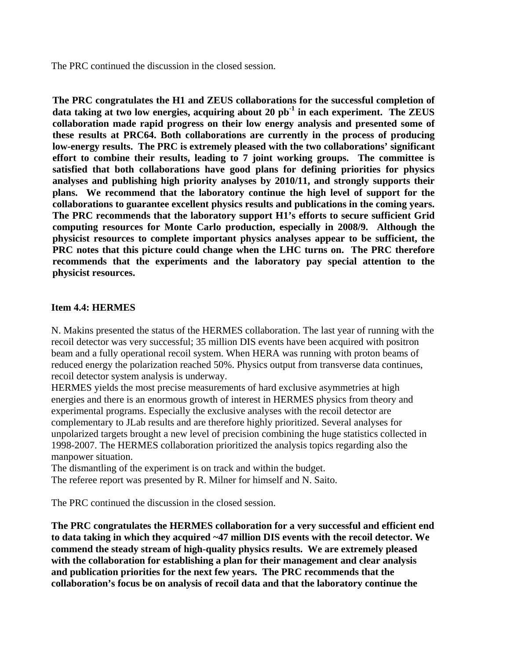The PRC continued the discussion in the closed session.

**The PRC congratulates the H1 and ZEUS collaborations for the successful completion of data taking at two low energies, acquiring about 20 pb-1 in each experiment. The ZEUS collaboration made rapid progress on their low energy analysis and presented some of these results at PRC64. Both collaborations are currently in the process of producing low-energy results. The PRC is extremely pleased with the two collaborations' significant effort to combine their results, leading to 7 joint working groups. The committee is satisfied that both collaborations have good plans for defining priorities for physics analyses and publishing high priority analyses by 2010/11, and strongly supports their plans. We recommend that the laboratory continue the high level of support for the collaborations to guarantee excellent physics results and publications in the coming years. The PRC recommends that the laboratory support H1's efforts to secure sufficient Grid computing resources for Monte Carlo production, especially in 2008/9. Although the physicist resources to complete important physics analyses appear to be sufficient, the PRC notes that this picture could change when the LHC turns on. The PRC therefore recommends that the experiments and the laboratory pay special attention to the physicist resources.** 

#### **Item 4.4: HERMES**

N. Makins presented the status of the HERMES collaboration. The last year of running with the recoil detector was very successful; 35 million DIS events have been acquired with positron beam and a fully operational recoil system. When HERA was running with proton beams of reduced energy the polarization reached 50%. Physics output from transverse data continues, recoil detector system analysis is underway.

HERMES yields the most precise measurements of hard exclusive asymmetries at high energies and there is an enormous growth of interest in HERMES physics from theory and experimental programs. Especially the exclusive analyses with the recoil detector are complementary to JLab results and are therefore highly prioritized. Several analyses for unpolarized targets brought a new level of precision combining the huge statistics collected in 1998-2007. The HERMES collaboration prioritized the analysis topics regarding also the manpower situation.

The dismantling of the experiment is on track and within the budget. The referee report was presented by R. Milner for himself and N. Saito.

The PRC continued the discussion in the closed session.

**The PRC congratulates the HERMES collaboration for a very successful and efficient end to data taking in which they acquired ~47 million DIS events with the recoil detector. We commend the steady stream of high-quality physics results. We are extremely pleased with the collaboration for establishing a plan for their management and clear analysis and publication priorities for the next few years. The PRC recommends that the collaboration's focus be on analysis of recoil data and that the laboratory continue the**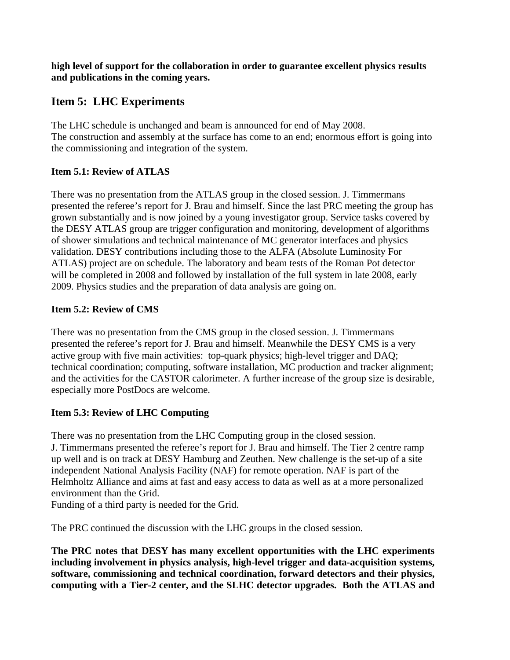**high level of support for the collaboration in order to guarantee excellent physics results and publications in the coming years.** 

# **Item 5: LHC Experiments**

The LHC schedule is unchanged and beam is announced for end of May 2008. The construction and assembly at the surface has come to an end; enormous effort is going into the commissioning and integration of the system.

## **Item 5.1: Review of ATLAS**

There was no presentation from the ATLAS group in the closed session. J. Timmermans presented the referee's report for J. Brau and himself. Since the last PRC meeting the group has grown substantially and is now joined by a young investigator group. Service tasks covered by the DESY ATLAS group are trigger configuration and monitoring, development of algorithms of shower simulations and technical maintenance of MC generator interfaces and physics validation. DESY contributions including those to the ALFA (Absolute Luminosity For ATLAS) project are on schedule. The laboratory and beam tests of the Roman Pot detector will be completed in 2008 and followed by installation of the full system in late 2008, early 2009. Physics studies and the preparation of data analysis are going on.

## **Item 5.2: Review of CMS**

There was no presentation from the CMS group in the closed session. J. Timmermans presented the referee's report for J. Brau and himself. Meanwhile the DESY CMS is a very active group with five main activities: top-quark physics; high-level trigger and DAQ; technical coordination; computing, software installation, MC production and tracker alignment; and the activities for the CASTOR calorimeter. A further increase of the group size is desirable, especially more PostDocs are welcome.

## **Item 5.3: Review of LHC Computing**

There was no presentation from the LHC Computing group in the closed session. J. Timmermans presented the referee's report for J. Brau and himself. The Tier 2 centre ramp up well and is on track at DESY Hamburg and Zeuthen. New challenge is the set-up of a site independent National Analysis Facility (NAF) for remote operation. NAF is part of the Helmholtz Alliance and aims at fast and easy access to data as well as at a more personalized environment than the Grid.

Funding of a third party is needed for the Grid.

The PRC continued the discussion with the LHC groups in the closed session.

**The PRC notes that DESY has many excellent opportunities with the LHC experiments including involvement in physics analysis, high-level trigger and data-acquisition systems, software, commissioning and technical coordination, forward detectors and their physics, computing with a Tier-2 center, and the SLHC detector upgrades. Both the ATLAS and**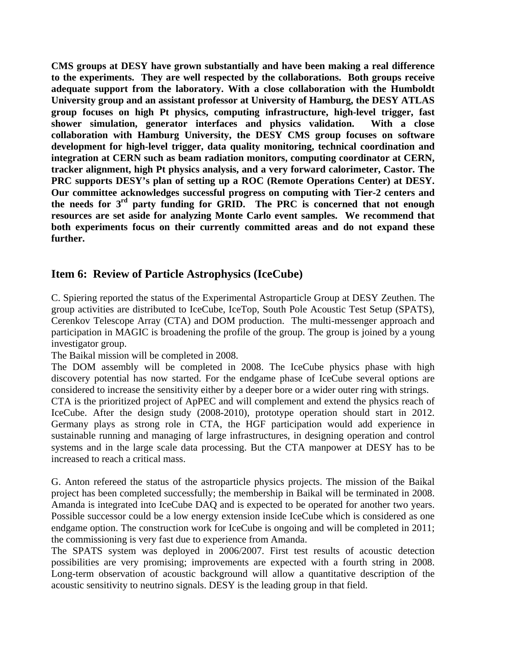**CMS groups at DESY have grown substantially and have been making a real difference to the experiments. They are well respected by the collaborations. Both groups receive adequate support from the laboratory. With a close collaboration with the Humboldt University group and an assistant professor at University of Hamburg, the DESY ATLAS group focuses on high Pt physics, computing infrastructure, high-level trigger, fast shower simulation, generator interfaces and physics validation. With a close collaboration with Hamburg University, the DESY CMS group focuses on software development for high-level trigger, data quality monitoring, technical coordination and integration at CERN such as beam radiation monitors, computing coordinator at CERN, tracker alignment, high Pt physics analysis, and a very forward calorimeter, Castor. The PRC supports DESY's plan of setting up a ROC (Remote Operations Center) at DESY. Our committee acknowledges successful progress on computing with Tier-2 centers and the needs for 3rd party funding for GRID. The PRC is concerned that not enough resources are set aside for analyzing Monte Carlo event samples. We recommend that both experiments focus on their currently committed areas and do not expand these further.** 

## **Item 6: Review of Particle Astrophysics (IceCube)**

C. Spiering reported the status of the Experimental Astroparticle Group at DESY Zeuthen. The group activities are distributed to IceCube, IceTop, South Pole Acoustic Test Setup (SPATS), Cerenkov Telescope Array (CTA) and DOM production. The multi-messenger approach and participation in MAGIC is broadening the profile of the group. The group is joined by a young investigator group.

The Baikal mission will be completed in 2008.

The DOM assembly will be completed in 2008. The IceCube physics phase with high discovery potential has now started. For the endgame phase of IceCube several options are considered to increase the sensitivity either by a deeper bore or a wider outer ring with strings.

CTA is the prioritized project of ApPEC and will complement and extend the physics reach of IceCube. After the design study (2008-2010), prototype operation should start in 2012. Germany plays as strong role in CTA, the HGF participation would add experience in sustainable running and managing of large infrastructures, in designing operation and control systems and in the large scale data processing. But the CTA manpower at DESY has to be increased to reach a critical mass.

G. Anton refereed the status of the astroparticle physics projects. The mission of the Baikal project has been completed successfully; the membership in Baikal will be terminated in 2008. Amanda is integrated into IceCube DAQ and is expected to be operated for another two years. Possible successor could be a low energy extension inside IceCube which is considered as one endgame option. The construction work for IceCube is ongoing and will be completed in 2011; the commissioning is very fast due to experience from Amanda.

The SPATS system was deployed in 2006/2007. First test results of acoustic detection possibilities are very promising; improvements are expected with a fourth string in 2008. Long-term observation of acoustic background will allow a quantitative description of the acoustic sensitivity to neutrino signals. DESY is the leading group in that field.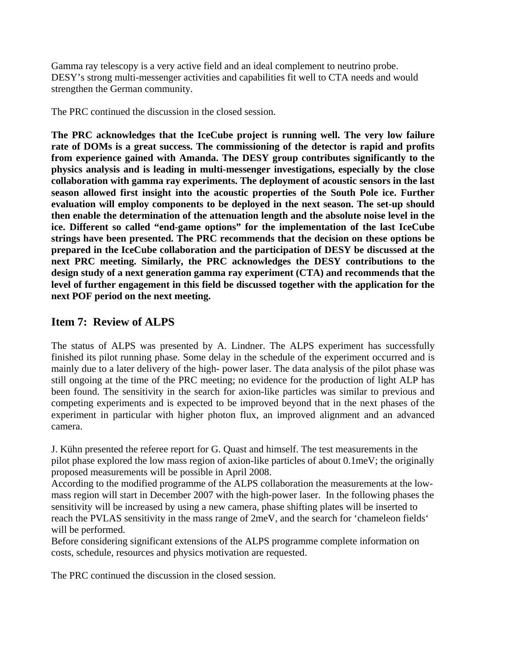Gamma ray telescopy is a very active field and an ideal complement to neutrino probe. DESY's strong multi-messenger activities and capabilities fit well to CTA needs and would strengthen the German community.

The PRC continued the discussion in the closed session.

**The PRC acknowledges that the IceCube project is running well. The very low failure rate of DOMs is a great success. The commissioning of the detector is rapid and profits from experience gained with Amanda. The DESY group contributes significantly to the physics analysis and is leading in multi-messenger investigations, especially by the close collaboration with gamma ray experiments. The deployment of acoustic sensors in the last season allowed first insight into the acoustic properties of the South Pole ice. Further evaluation will employ components to be deployed in the next season. The set-up should then enable the determination of the attenuation length and the absolute noise level in the ice. Different so called "end-game options" for the implementation of the last IceCube strings have been presented. The PRC recommends that the decision on these options be prepared in the IceCube collaboration and the participation of DESY be discussed at the next PRC meeting. Similarly, the PRC acknowledges the DESY contributions to the design study of a next generation gamma ray experiment (CTA) and recommends that the level of further engagement in this field be discussed together with the application for the next POF period on the next meeting.** 

## **Item 7: Review of ALPS**

The status of ALPS was presented by A. Lindner. The ALPS experiment has successfully finished its pilot running phase. Some delay in the schedule of the experiment occurred and is mainly due to a later delivery of the high- power laser. The data analysis of the pilot phase was still ongoing at the time of the PRC meeting; no evidence for the production of light ALP has been found. The sensitivity in the search for axion-like particles was similar to previous and competing experiments and is expected to be improved beyond that in the next phases of the experiment in particular with higher photon flux, an improved alignment and an advanced camera.

J. Kühn presented the referee report for G. Quast and himself. The test measurements in the pilot phase explored the low mass region of axion-like particles of about 0.1meV; the originally proposed measurements will be possible in April 2008.

According to the modified programme of the ALPS collaboration the measurements at the lowmass region will start in December 2007 with the high-power laser. In the following phases the sensitivity will be increased by using a new camera, phase shifting plates will be inserted to reach the PVLAS sensitivity in the mass range of 2meV, and the search for 'chameleon fields' will be performed.

Before considering significant extensions of the ALPS programme complete information on costs, schedule, resources and physics motivation are requested.

The PRC continued the discussion in the closed session.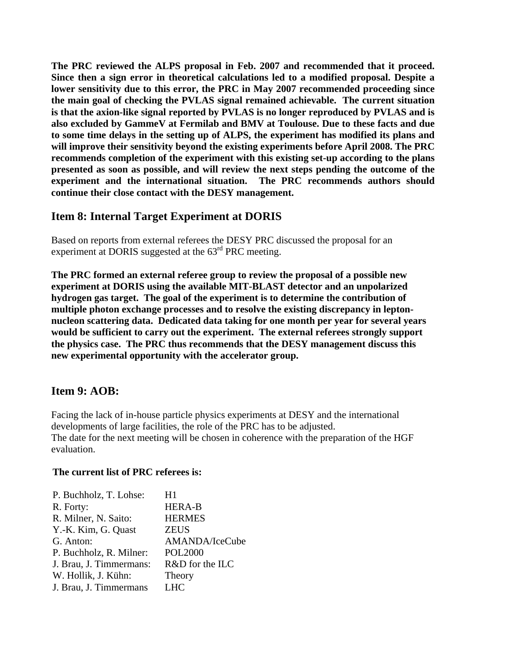**The PRC reviewed the ALPS proposal in Feb. 2007 and recommended that it proceed. Since then a sign error in theoretical calculations led to a modified proposal. Despite a lower sensitivity due to this error, the PRC in May 2007 recommended proceeding since the main goal of checking the PVLAS signal remained achievable. The current situation is that the axion-like signal reported by PVLAS is no longer reproduced by PVLAS and is also excluded by GammeV at Fermilab and BMV at Toulouse. Due to these facts and due to some time delays in the setting up of ALPS, the experiment has modified its plans and will improve their sensitivity beyond the existing experiments before April 2008. The PRC recommends completion of the experiment with this existing set-up according to the plans presented as soon as possible, and will review the next steps pending the outcome of the experiment and the international situation. The PRC recommends authors should continue their close contact with the DESY management.** 

# **Item 8: Internal Target Experiment at DORIS**

Based on reports from external referees the DESY PRC discussed the proposal for an experiment at DORIS suggested at the 63rd PRC meeting.

**The PRC formed an external referee group to review the proposal of a possible new experiment at DORIS using the available MIT-BLAST detector and an unpolarized hydrogen gas target. The goal of the experiment is to determine the contribution of multiple photon exchange processes and to resolve the existing discrepancy in leptonnucleon scattering data. Dedicated data taking for one month per year for several years would be sufficient to carry out the experiment. The external referees strongly support the physics case. The PRC thus recommends that the DESY management discuss this new experimental opportunity with the accelerator group.** 

## **Item 9: AOB:**

Facing the lack of in-house particle physics experiments at DESY and the international developments of large facilities, the role of the PRC has to be adjusted. The date for the next meeting will be chosen in coherence with the preparation of the HGF evaluation.

#### **The current list of PRC referees is:**

| H1              |
|-----------------|
| <b>HERA-B</b>   |
| <b>HERMES</b>   |
| <b>ZEUS</b>     |
| AMANDA/IceCube  |
| <b>POL2000</b>  |
| R&D for the ILC |
| Theory          |
| <b>LHC</b>      |
|                 |